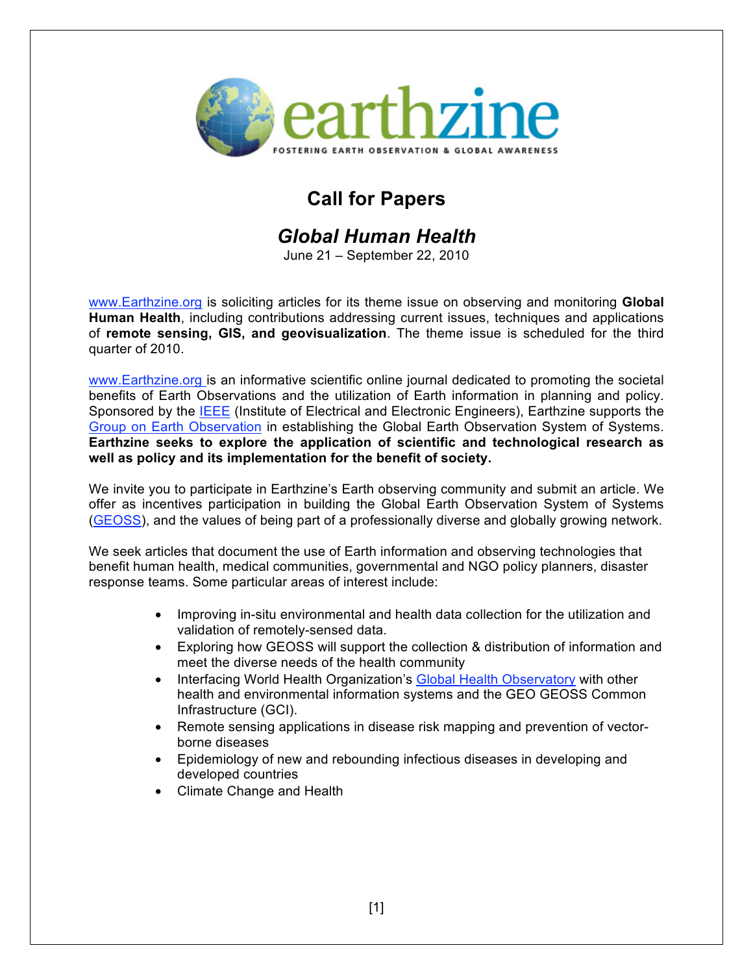

# **Call for Papers**

### *Global Human Health*

June 21 – September 22, 2010

www.Earthzine.org is soliciting articles for its theme issue on observing and monitoring **Global Human Health**, including contributions addressing current issues, techniques and applications of **remote sensing, GIS, and geovisualization**. The theme issue is scheduled for the third quarter of 2010.

www.Earthzine.org is an informative scientific online journal dedicated to promoting the societal benefits of Earth Observations and the utilization of Earth information in planning and policy. Sponsored by the IEEE (Institute of Electrical and Electronic Engineers), Earthzine supports the Group on Earth Observation in establishing the Global Earth Observation System of Systems. **Earthzine seeks to explore the application of scientific and technological research as well as policy and its implementation for the benefit of society.**

We invite you to participate in Earthzine's Earth observing community and submit an article. We offer as incentives participation in building the Global Earth Observation System of Systems (GEOSS), and the values of being part of a professionally diverse and globally growing network.

We seek articles that document the use of Earth information and observing technologies that benefit human health, medical communities, governmental and NGO policy planners, disaster response teams. Some particular areas of interest include:

- Improving in-situ environmental and health data collection for the utilization and validation of remotely-sensed data.
- Exploring how GEOSS will support the collection & distribution of information and meet the diverse needs of the health community
- Interfacing World Health Organization's Global Health Observatory with other health and environmental information systems and the GEO GEOSS Common Infrastructure (GCI).
- Remote sensing applications in disease risk mapping and prevention of vectorborne diseases
- Epidemiology of new and rebounding infectious diseases in developing and developed countries
- Climate Change and Health